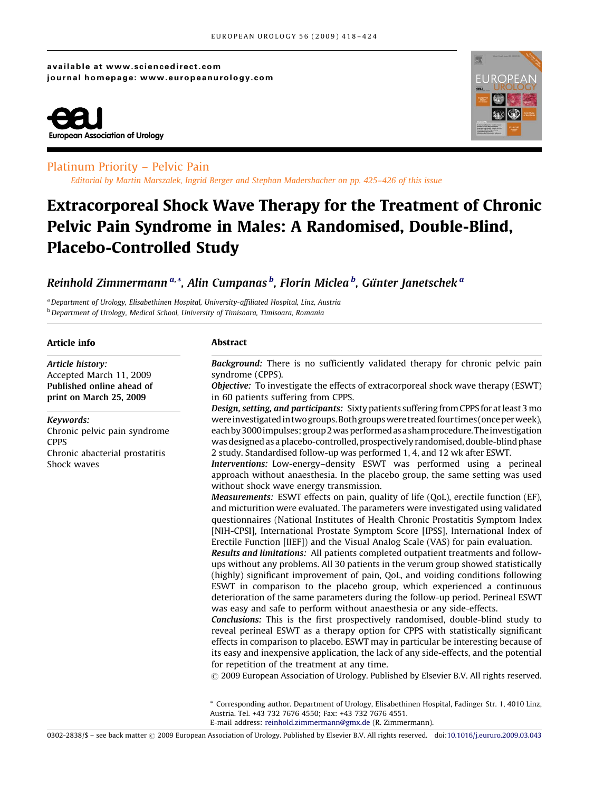### available at www.sciencedirect.com journal homepage: www.europeanurology.com





## Platinum Priority – Pelvic Pain

Editorial by Martin Marszalek, Ingrid Berger and Stephan Madersbacher on pp. 425–426 of this issue

# Extracorporeal Shock Wave Therapy for the Treatment of Chronic Pelvic Pain Syndrome in Males: A Randomised, Double-Blind, Placebo-Controlled Study

## Reinhold Zimmermann<sup>a,\*</sup>, Alin Cumpanas <sup>b</sup>, Florin Miclea <sup>b</sup>, Günter Janetschek <sup>a</sup>

a Department of Urology, Elisabethinen Hospital, University-affiliated Hospital, Linz, Austria <sup>b</sup> Department of Urology, Medical School, University of Timisoara, Timisoara, Romania

#### Article info

Article history: Accepted March 11, 2009 Published online ahead of print on March 25, 2009

#### Keywords:

Chronic pelvic pain syndrome **CPPS** Chronic abacterial prostatitis Shock waves

#### Abstract

Background: There is no sufficiently validated therapy for chronic pelvic pain syndrome (CPPS).

Objective: To investigate the effects of extracorporeal shock wave therapy (ESWT) in 60 patients suffering from CPPS.

Design, setting, and participants: Sixty patients suffering from CPPS for at least 3 mo were investigated in two groups.Both groupswere treated four times (onceperweek), eachby3000 impulses;group2wasperformedasashamprocedure.The investigation was designed as a placebo-controlled, prospectively randomised, double-blind phase 2 study. Standardised follow-up was performed 1, 4, and 12 wk after ESWT.

Interventions: Low-energy–density ESWT was performed using a perineal approach without anaesthesia. In the placebo group, the same setting was used without shock wave energy transmission.

Measurements: ESWT effects on pain, quality of life (QoL), erectile function (EF), and micturition were evaluated. The parameters were investigated using validated questionnaires (National Institutes of Health Chronic Prostatitis Symptom Index [NIH-CPSI], International Prostate Symptom Score [IPSS], International Index of Erectile Function [IIEF]) and the Visual Analog Scale (VAS) for pain evaluation.

Results and limitations: All patients completed outpatient treatments and followups without any problems. All 30 patients in the verum group showed statistically (highly) significant improvement of pain, QoL, and voiding conditions following ESWT in comparison to the placebo group, which experienced a continuous deterioration of the same parameters during the follow-up period. Perineal ESWT was easy and safe to perform without anaesthesia or any side-effects.

Conclusions: This is the first prospectively randomised, double-blind study to reveal perineal ESWT as a therapy option for CPPS with statistically significant effects in comparison to placebo. ESWT may in particular be interesting because of its easy and inexpensive application, the lack of any side-effects, and the potential for repetition of the treatment at any time.

 $\odot$  2009 European Association of Urology. Published by Elsevier B.V. All rights reserved.

\* Corresponding author. Department of Urology, Elisabethinen Hospital, Fadinger Str. 1, 4010 Linz, Austria. Tel. +43 732 7676 4550; Fax: +43 732 7676 4551.

E-mail address: [reinhold.zimmermann@gmx.de](mailto:reinhold.zimmermann@gmx.de) (R. Zimmermann).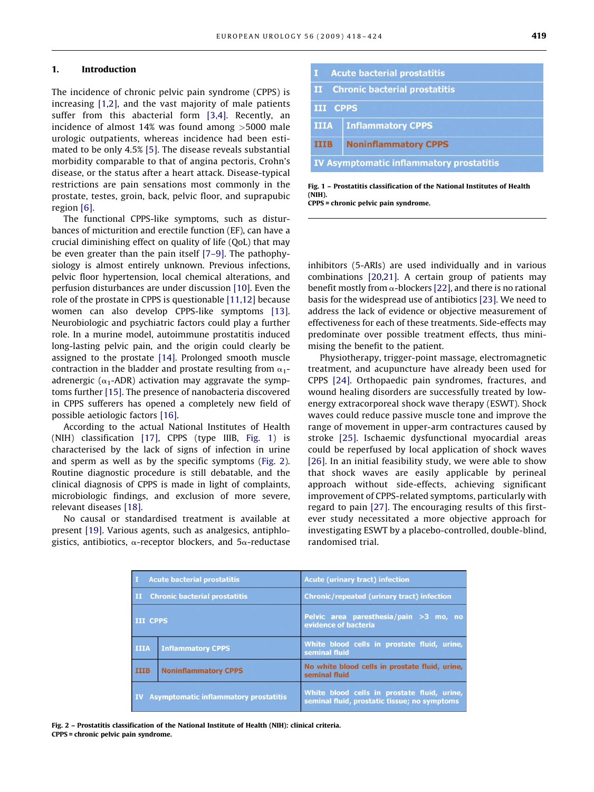#### 1. Introduction

The incidence of chronic pelvic pain syndrome (CPPS) is increasing [\[1,2\],](#page-5-0) and the vast majority of male patients suffer from this abacterial form [\[3,4\].](#page-5-0) Recently, an incidence of almost 14% was found among >5000 male urologic outpatients, whereas incidence had been estimated to be only 4.5% [\[5\].](#page-5-0) The disease reveals substantial morbidity comparable to that of angina pectoris, Crohn's disease, or the status after a heart attack. Disease-typical restrictions are pain sensations most commonly in the prostate, testes, groin, back, pelvic floor, and suprapubic region [\[6\].](#page-5-0)

The functional CPPS-like symptoms, such as disturbances of micturition and erectile function (EF), can have a crucial diminishing effect on quality of life (QoL) that may be even greater than the pain itself [\[7–9\].](#page-5-0) The pathophysiology is almost entirely unknown. Previous infections, pelvic floor hypertension, local chemical alterations, and perfusion disturbances are under discussion [\[10\].](#page-5-0) Even the role of the prostate in CPPS is questionable [\[11,12\]](#page-5-0) because women can also develop CPPS-like symptoms [\[13\].](#page-5-0) Neurobiologic and psychiatric factors could play a further role. In a murine model, autoimmune prostatitis induced long-lasting pelvic pain, and the origin could clearly be assigned to the prostate [\[14\].](#page-5-0) Prolonged smooth muscle contraction in the bladder and prostate resulting from  $\alpha_1$ adrenergic ( $\alpha_1$ -ADR) activation may aggravate the symptoms further [\[15\]](#page-5-0). The presence of nanobacteria discovered in CPPS sufferers has opened a completely new field of possible aetiologic factors [\[16\]](#page-6-0).

According to the actual National Institutes of Health (NIH) classification [\[17\],](#page-6-0) CPPS (type IIIB, Fig. 1) is characterised by the lack of signs of infection in urine and sperm as well as by the specific symptoms (Fig. 2). Routine diagnostic procedure is still debatable, and the clinical diagnosis of CPPS is made in light of complaints, microbiologic findings, and exclusion of more severe, relevant diseases [\[18\]](#page-6-0).

No causal or standardised treatment is available at present [\[19\]](#page-6-0). Various agents, such as analgesics, antiphlogistics, antibiotics,  $\alpha$ -receptor blockers, and  $5\alpha$ -reductase

|                                                 | <b>Acute bacterial prostatitis</b> |  |  |  |  |  |
|-------------------------------------------------|------------------------------------|--|--|--|--|--|
| II Chronic bacterial prostatitis                |                                    |  |  |  |  |  |
|                                                 | <b>III CPPS</b>                    |  |  |  |  |  |
| <b>IIIA</b>                                     | <b>Inflammatory CPPS</b>           |  |  |  |  |  |
| <b>TITB</b>                                     | <b>Noninflammatory CPPS</b>        |  |  |  |  |  |
| <b>IV Asymptomatic inflammatory prostatitis</b> |                                    |  |  |  |  |  |

Fig. 1 – Prostatitis classification of the National Institutes of Health (NIH).

CPPS = chronic pelvic pain syndrome.

inhibitors (5-ARIs) are used individually and in various combinations [\[20,21\]](#page-6-0). A certain group of patients may benefit mostly from  $\alpha$ -blockers [\[22\],](#page-6-0) and there is no rational basis for the widespread use of antibiotics [\[23\].](#page-6-0) We need to address the lack of evidence or objective measurement of effectiveness for each of these treatments. Side-effects may predominate over possible treatment effects, thus minimising the benefit to the patient.

Physiotherapy, trigger-point massage, electromagnetic treatment, and acupuncture have already been used for CPPS [\[24\].](#page-6-0) Orthopaedic pain syndromes, fractures, and wound healing disorders are successfully treated by lowenergy extracorporeal shock wave therapy (ESWT). Shock waves could reduce passive muscle tone and improve the range of movement in upper-arm contractures caused by stroke [\[25\]](#page-6-0). Ischaemic dysfunctional myocardial areas could be reperfused by local application of shock waves [\[26\].](#page-6-0) In an initial feasibility study, we were able to show that shock waves are easily applicable by perineal approach without side-effects, achieving significant improvement of CPPS-related symptoms, particularly with regard to pain [\[27\].](#page-6-0) The encouraging results of this firstever study necessitated a more objective approach for investigating ESWT by a placebo-controlled, double-blind, randomised trial.

| $\mathbf{I}$                                    | <b>Acute bacterial prostatitis</b> | <b>Acute (urinary tract) infection</b>                                                      |  |  |  |
|-------------------------------------------------|------------------------------------|---------------------------------------------------------------------------------------------|--|--|--|
|                                                 | II Chronic bacterial prostatitis   | <b>Chronic/repeated (urinary tract) infection</b>                                           |  |  |  |
| <b>III CPPS</b>                                 |                                    | Pelvic area paresthesia/pain >3 mo, no<br>evidence of bacteria                              |  |  |  |
| <b>IIIA</b>                                     | <b>Inflammatory CPPS</b>           | White blood cells in prostate fluid, urine,<br>seminal fluid                                |  |  |  |
| <b>IIIB</b>                                     | <b>Noninflammatory CPPS</b>        | No white blood cells in prostate fluid, urine,<br>seminal fluid                             |  |  |  |
| <b>IV</b> Asymptomatic inflammatory prostatitis |                                    | White blood cells in prostate fluid, urine,<br>seminal fluid, prostatic tissue; no symptoms |  |  |  |

Fig. 2 – Prostatitis classification of the National Institute of Health (NIH): clinical criteria. CPPS = chronic pelvic pain syndrome.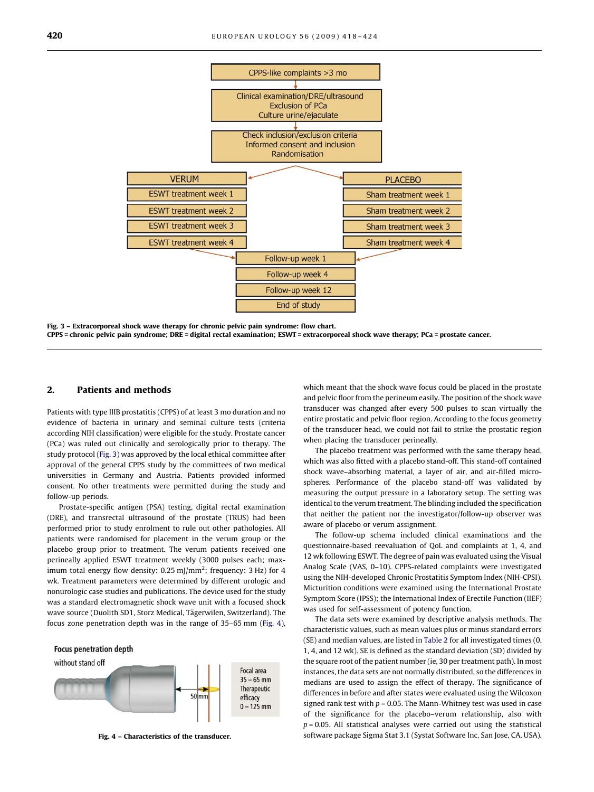

Fig. 3 – Extracorporeal shock wave therapy for chronic pelvic pain syndrome: flow chart. CPPS = chronic pelvic pain syndrome; DRE = digital rectal examination; ESWT = extracorporeal shock wave therapy; PCa = prostate cancer.

#### 2. Patients and methods

Patients with type IIIB prostatitis (CPPS) of at least 3 mo duration and no evidence of bacteria in urinary and seminal culture tests (criteria according NIH classification) were eligible for the study. Prostate cancer (PCa) was ruled out clinically and serologically prior to therapy. The study protocol (Fig. 3) was approved by the local ethical committee after approval of the general CPPS study by the committees of two medical universities in Germany and Austria. Patients provided informed consent. No other treatments were permitted during the study and follow-up periods.

Prostate-specific antigen (PSA) testing, digital rectal examination (DRE), and transrectal ultrasound of the prostate (TRUS) had been performed prior to study enrolment to rule out other pathologies. All patients were randomised for placement in the verum group or the placebo group prior to treatment. The verum patients received one perineally applied ESWT treatment weekly (3000 pulses each; maximum total energy flow density:  $0.25$  mJ/mm<sup>2</sup>; frequency: 3 Hz) for 4 wk. Treatment parameters were determined by different urologic and nonurologic case studies and publications. The device used for the study was a standard electromagnetic shock wave unit with a focused shock wave source (Duolith SD1, Storz Medical, Tägerwilen, Switzerland). The focus zone penetration depth was in the range of 35–65 mm (Fig. 4),



Fig. 4 – Characteristics of the transducer.

which meant that the shock wave focus could be placed in the prostate and pelvic floor from the perineum easily. The position of the shock wave transducer was changed after every 500 pulses to scan virtually the entire prostatic and pelvic floor region. According to the focus geometry of the transducer head, we could not fail to strike the prostatic region when placing the transducer perineally.

The placebo treatment was performed with the same therapy head, which was also fitted with a placebo stand-off. This stand-off contained shock wave–absorbing material, a layer of air, and air-filled microspheres. Performance of the placebo stand-off was validated by measuring the output pressure in a laboratory setup. The setting was identical to the verum treatment. The blinding included the specification that neither the patient nor the investigator/follow-up observer was aware of placebo or verum assignment.

The follow-up schema included clinical examinations and the questionnaire-based reevaluation of QoL and complaints at 1, 4, and 12 wk following ESWT. The degree of pain was evaluated using the Visual Analog Scale (VAS, 0–10). CPPS-related complaints were investigated using the NIH-developed Chronic Prostatitis Symptom Index (NIH-CPSI). Micturition conditions were examined using the International Prostate Symptom Score (IPSS); the International Index of Erectile Function (IIEF) was used for self-assessment of potency function.

The data sets were examined by descriptive analysis methods. The characteristic values, such as mean values plus or minus standard errors (SE) and median values, are listed in [Table 2](#page-3-0) for all investigated times (0, 1, 4, and 12 wk). SE is defined as the standard deviation (SD) divided by the square root of the patient number (ie, 30 per treatment path). In most instances, the data sets are not normally distributed, so the differences in medians are used to assign the effect of therapy. The significance of differences in before and after states were evaluated using the Wilcoxon signed rank test with  $p = 0.05$ . The Mann-Whitney test was used in case of the significance for the placebo–verum relationship, also with  $p = 0.05$ . All statistical analyses were carried out using the statistical software package Sigma Stat 3.1 (Systat Software Inc, San Jose, CA, USA).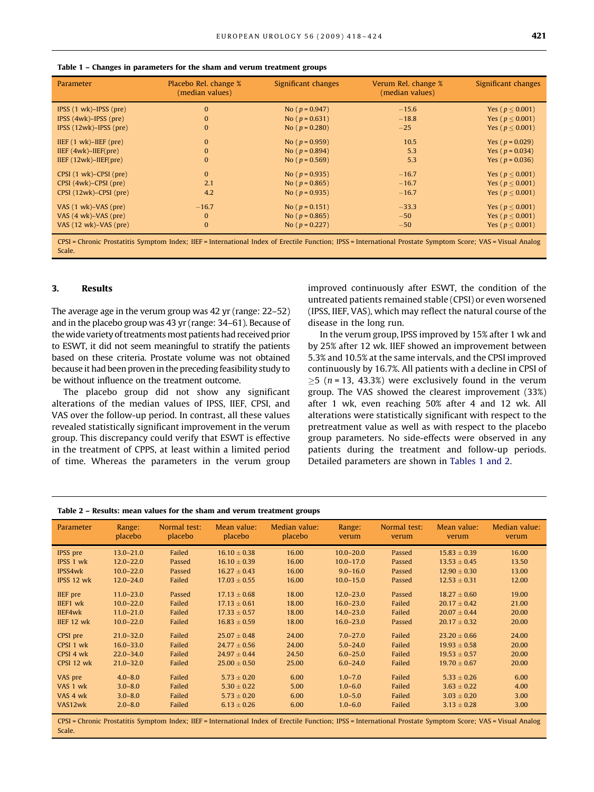<span id="page-3-0"></span>

|  |  |  | Table 1 – Changes in parameters for the sham and verum treatment groups |
|--|--|--|-------------------------------------------------------------------------|
|--|--|--|-------------------------------------------------------------------------|

| Parameter                                  | Placebo Rel. change %<br>(median values) | Significant changes | Verum Rel. change %<br>(median values) | Significant changes   |
|--------------------------------------------|------------------------------------------|---------------------|----------------------------------------|-----------------------|
| IPSS $(1 \text{ wk})$ -IPSS $(\text{pre})$ | $\Omega$                                 | No ( $p = 0.947$ )  | $-15.6$                                | Yes ( $p < 0.001$ )   |
| $IPSS (4wk)$ -IPSS (pre)                   | $\bf{0}$                                 | No ( $p = 0.631$ )  | $-18.8$                                | Yes ( $p \le 0.001$ ) |
| IPSS $(12wk)$ -IPSS $(pre)$                | $\Omega$                                 | No ( $p = 0.280$ )  | $-25$                                  | Yes ( $p \le 0.001$ ) |
| $IIEF (1 wk) - IIEF (pre)$                 | $\Omega$                                 | No ( $p = 0.959$ )  | 10.5                                   | Yes ( $p = 0.029$ )   |
| $IIEF (4wk) - IIEF (pre)$                  | $\Omega$                                 | No ( $p = 0.894$ )  | 5.3                                    | Yes ( $p = 0.034$ )   |
| $IIEF (12wk) - IIEF (pre)$                 | $\bf{0}$                                 | No ( $p = 0.569$ )  | 5.3                                    | Yes ( $p = 0.036$ )   |
| CPSI (1 wk)–CPSI (pre)                     | $\Omega$                                 | No ( $p = 0.935$ )  | $-16.7$                                | Yes ( $p \le 0.001$ ) |
| $CPSI$ (4wk)– $CPSI$ (pre)                 | 2.1                                      | No ( $p = 0.865$ )  | $-16.7$                                | Yes ( $p < 0.001$ )   |
| $CPSI (12wk)$ – $CPSI$ (pre)               | 4.2                                      | No ( $p = 0.935$ )  | $-16.7$                                | Yes ( $p \le 0.001$ ) |
| VAS $(1 \text{ wk})$ -VAS $(\text{pre})$   | $-16.7$                                  | No ( $p = 0.151$ )  | $-33.3$                                | Yes ( $p \le 0.001$ ) |
| VAS $(4 \text{ wk})$ -VAS $(\text{pre})$   | $\Omega$                                 | No ( $p = 0.865$ )  | $-50$                                  | Yes ( $p \le 0.001$ ) |
| VAS (12 wk)–VAS (pre)                      | $\bf{0}$                                 | No ( $p = 0.227$ )  | $-50$                                  | Yes ( $p \le 0.001$ ) |
|                                            |                                          |                     |                                        |                       |

CPSI = Chronic Prostatitis Symptom Index; IIEF = International Index of Erectile Function; IPSS = International Prostate Symptom Score; VAS = Visual Analog Scale.

#### 3. Results

The average age in the verum group was 42 yr (range: 22–52) and in the placebo group was 43 yr (range: 34–61). Because of the wide variety of treatments most patients had received prior to ESWT, it did not seem meaningful to stratify the patients based on these criteria. Prostate volume was not obtained because it had been proven in the preceding feasibility study to be without influence on the treatment outcome.

The placebo group did not show any significant alterations of the median values of IPSS, IIEF, CPSI, and VAS over the follow-up period. In contrast, all these values revealed statistically significant improvement in the verum group. This discrepancy could verify that ESWT is effective in the treatment of CPPS, at least within a limited period of time. Whereas the parameters in the verum group improved continuously after ESWT, the condition of the untreated patients remained stable (CPSI) or even worsened (IPSS, IIEF, VAS), which may reflect the natural course of the disease in the long run.

In the verum group, IPSS improved by 15% after 1 wk and by 25% after 12 wk. IIEF showed an improvement between 5.3% and 10.5% at the same intervals, and the CPSI improved continuously by 16.7%. All patients with a decline in CPSI of  $\geq$ 5 (*n* = 13, 43.3%) were exclusively found in the verum group. The VAS showed the clearest improvement (33%) after 1 wk, even reaching 50% after 4 and 12 wk. All alterations were statistically significant with respect to the pretreatment value as well as with respect to the placebo group parameters. No side-effects were observed in any patients during the treatment and follow-up periods. Detailed parameters are shown in Tables 1 and 2.

| Table 2 – Results: mean values for the sham and verum treatment groups |  |
|------------------------------------------------------------------------|--|
|------------------------------------------------------------------------|--|

| Parameter       | Range:<br>placebo | Normal test:<br>placebo | Mean value:<br>placebo | Median value:<br>placebo | Range:<br>verum | Normal test:<br>verum | Mean value:<br>verum | Median value:<br>verum |
|-----------------|-------------------|-------------------------|------------------------|--------------------------|-----------------|-----------------------|----------------------|------------------------|
| IPSS pre        | $13.0 - 21.0$     | Failed                  | $16.10 \pm 0.38$       | 16.00                    | $10.0 - 20.0$   | Passed                | $15.83 \pm 0.39$     | 16.00                  |
| IPSS 1 wk       | $12.0 - 22.0$     | Passed                  | $16.10 \pm 0.39$       | 16.00                    | $10.0 - 17.0$   | Passed                | $13.53 \pm 0.45$     | 13.50                  |
| IPSS4wk         | $10.0 - 22.0$     | Passed                  | $16.27 \pm 0.43$       | 16.00                    | $9.0 - 16.0$    | Passed                | $12.90 \pm 0.30$     | 13.00                  |
| IPSS 12 wk      | $12.0 - 24.0$     | Failed                  | $17.03 \pm 0.55$       | 16.00                    | $10.0 - 15.0$   | Passed                | $12.53 \pm 0.31$     | 12.00                  |
| <b>IIEF</b> pre | $11.0 - 23.0$     | Passed                  | $17.13 \pm 0.68$       | 18.00                    | $12.0 - 23.0$   | Passed                | $18.27 \pm 0.60$     | 19.00                  |
| IIEF1 wk        | $10.0 - 22.0$     | Failed                  | $17.13 \pm 0.61$       | 18.00                    | $16.0 - 23.0$   | Failed                | $20.17 \pm 0.42$     | 21.00                  |
| IIEF4wk         | $11.0 - 21.0$     | Failed                  | $17.33 \pm 0.57$       | 18.00                    | $14.0 - 23.0$   | Failed                | $20.07 \pm 0.44$     | 20.00                  |
| IIEF 12 wk      | $10.0 - 22.0$     | Failed                  | $16.83 \pm 0.59$       | 18.00                    | $16.0 - 23.0$   | Passed                | $20.17 \pm 0.32$     | 20.00                  |
| CPSI pre        | $21.0 - 32.0$     | Failed                  | $25.07 \pm 0.48$       | 24.00                    | $7.0 - 27.0$    | Failed                | $23.20 \pm 0.66$     | 24.00                  |
| CPSI 1 wk       | $16.0 - 33.0$     | Failed                  | $24.77 \pm 0.56$       | 24.00                    | $5.0 - 24.0$    | Failed                | $19.93 \pm 0.58$     | 20.00                  |
| CPSI 4 wk       | $22.0 - 34.0$     | Failed                  | $24.97 \pm 0.44$       | 24.50                    | $6.0 - 25.0$    | Failed                | $19.53 \pm 0.57$     | 20.00                  |
| CPSI 12 wk      | $21.0 - 32.0$     | Failed                  | $25.00 \pm 0.50$       | 25.00                    | $6.0 - 24.0$    | Failed                | $19.70 \pm 0.67$     | 20.00                  |
| VAS pre         | $4.0 - 8.0$       | Failed                  | $5.73 \pm 0.20$        | 6.00                     | $1.0 - 7.0$     | Failed                | $5.33 \pm 0.26$      | 6.00                   |
| VAS 1 wk        | $3.0 - 8.0$       | Failed                  | $5.30 \pm 0.22$        | 5.00                     | $1.0 - 6.0$     | Failed                | $3.63 \pm 0.22$      | 4.00                   |
| VAS 4 wk        | $3.0 - 8.0$       | Failed                  | $5.73 \pm 0.20$        | 6.00                     | $1.0 - 5.0$     | Failed                | $3.03 \pm 0.20$      | 3.00                   |
| VAS12wk         | $2.0 - 8.0$       | Failed                  | $6.13 \pm 0.26$        | 6.00                     | $1.0 - 6.0$     | Failed                | $3.13 \pm 0.28$      | 3.00                   |

CPSI = Chronic Prostatitis Symptom Index; IIEF = International Index of Erectile Function; IPSS = International Prostate Symptom Score; VAS = Visual Analog Scale.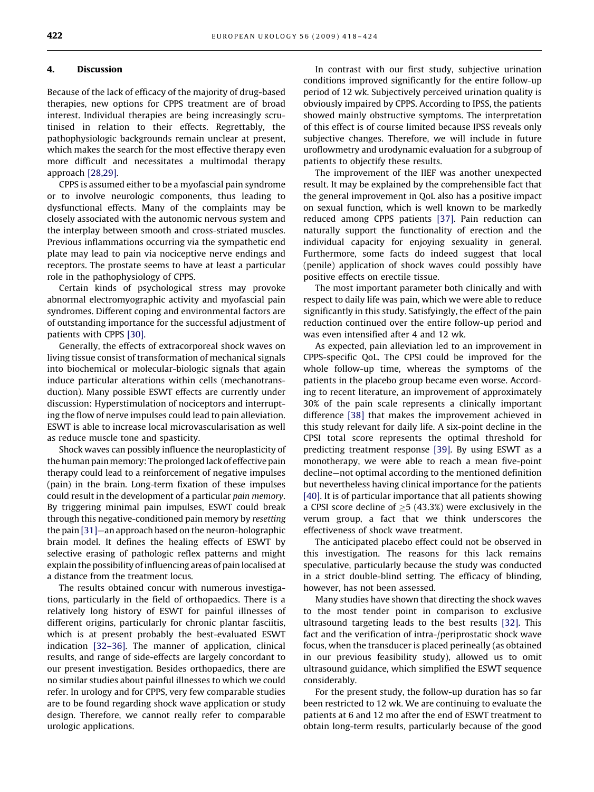#### 4. Discussion

Because of the lack of efficacy of the majority of drug-based therapies, new options for CPPS treatment are of broad interest. Individual therapies are being increasingly scrutinised in relation to their effects. Regrettably, the pathophysiologic backgrounds remain unclear at present, which makes the search for the most effective therapy even more difficult and necessitates a multimodal therapy approach [\[28,29\].](#page-6-0)

CPPS is assumed either to be a myofascial pain syndrome or to involve neurologic components, thus leading to dysfunctional effects. Many of the complaints may be closely associated with the autonomic nervous system and the interplay between smooth and cross-striated muscles. Previous inflammations occurring via the sympathetic end plate may lead to pain via nociceptive nerve endings and receptors. The prostate seems to have at least a particular role in the pathophysiology of CPPS.

Certain kinds of psychological stress may provoke abnormal electromyographic activity and myofascial pain syndromes. Different coping and environmental factors are of outstanding importance for the successful adjustment of patients with CPPS [\[30\]](#page-6-0).

Generally, the effects of extracorporeal shock waves on living tissue consist of transformation of mechanical signals into biochemical or molecular-biologic signals that again induce particular alterations within cells (mechanotransduction). Many possible ESWT effects are currently under discussion: Hyperstimulation of nociceptors and interrupting the flow of nerve impulses could lead to pain alleviation. ESWT is able to increase local microvascularisation as well as reduce muscle tone and spasticity.

Shock waves can possibly influence the neuroplasticity of the human pain memory: The prolonged lack of effective pain therapy could lead to a reinforcement of negative impulses (pain) in the brain. Long-term fixation of these impulses could result in the development of a particular pain memory. By triggering minimal pain impulses, ESWT could break through this negative-conditioned pain memory by resetting the pain [\[31\]—](#page-6-0)an approach based on the neuron-holographic brain model. It defines the healing effects of ESWT by selective erasing of pathologic reflex patterns and might explain the possibility of influencing areas of pain localised at a distance from the treatment locus.

The results obtained concur with numerous investigations, particularly in the field of orthopaedics. There is a relatively long history of ESWT for painful illnesses of different origins, particularly for chronic plantar fasciitis, which is at present probably the best-evaluated ESWT indication [\[32–36\].](#page-6-0) The manner of application, clinical results, and range of side-effects are largely concordant to our present investigation. Besides orthopaedics, there are no similar studies about painful illnesses to which we could refer. In urology and for CPPS, very few comparable studies are to be found regarding shock wave application or study design. Therefore, we cannot really refer to comparable urologic applications.

In contrast with our first study, subjective urination conditions improved significantly for the entire follow-up period of 12 wk. Subjectively perceived urination quality is obviously impaired by CPPS. According to IPSS, the patients showed mainly obstructive symptoms. The interpretation of this effect is of course limited because IPSS reveals only subjective changes. Therefore, we will include in future uroflowmetry and urodynamic evaluation for a subgroup of patients to objectify these results.

The improvement of the IIEF was another unexpected result. It may be explained by the comprehensible fact that the general improvement in QoL also has a positive impact on sexual function, which is well known to be markedly reduced among CPPS patients [\[37\].](#page-6-0) Pain reduction can naturally support the functionality of erection and the individual capacity for enjoying sexuality in general. Furthermore, some facts do indeed suggest that local (penile) application of shock waves could possibly have positive effects on erectile tissue.

The most important parameter both clinically and with respect to daily life was pain, which we were able to reduce significantly in this study. Satisfyingly, the effect of the pain reduction continued over the entire follow-up period and was even intensified after 4 and 12 wk.

As expected, pain alleviation led to an improvement in CPPS-specific QoL. The CPSI could be improved for the whole follow-up time, whereas the symptoms of the patients in the placebo group became even worse. According to recent literature, an improvement of approximately 30% of the pain scale represents a clinically important difference [\[38\]](#page-6-0) that makes the improvement achieved in this study relevant for daily life. A six-point decline in the CPSI total score represents the optimal threshold for predicting treatment response [\[39\].](#page-6-0) By using ESWT as a monotherapy, we were able to reach a mean five-point decline—not optimal according to the mentioned definition but nevertheless having clinical importance for the patients [\[40\].](#page-6-0) It is of particular importance that all patients showing a CPSI score decline of  $\geq$ 5 (43.3%) were exclusively in the verum group, a fact that we think underscores the effectiveness of shock wave treatment.

The anticipated placebo effect could not be observed in this investigation. The reasons for this lack remains speculative, particularly because the study was conducted in a strict double-blind setting. The efficacy of blinding, however, has not been assessed.

Many studies have shown that directing the shock waves to the most tender point in comparison to exclusive ultrasound targeting leads to the best results [\[32\].](#page-6-0) This fact and the verification of intra-/periprostatic shock wave focus, when the transducer is placed perineally (as obtained in our previous feasibility study), allowed us to omit ultrasound guidance, which simplified the ESWT sequence considerably.

For the present study, the follow-up duration has so far been restricted to 12 wk. We are continuing to evaluate the patients at 6 and 12 mo after the end of ESWT treatment to obtain long-term results, particularly because of the good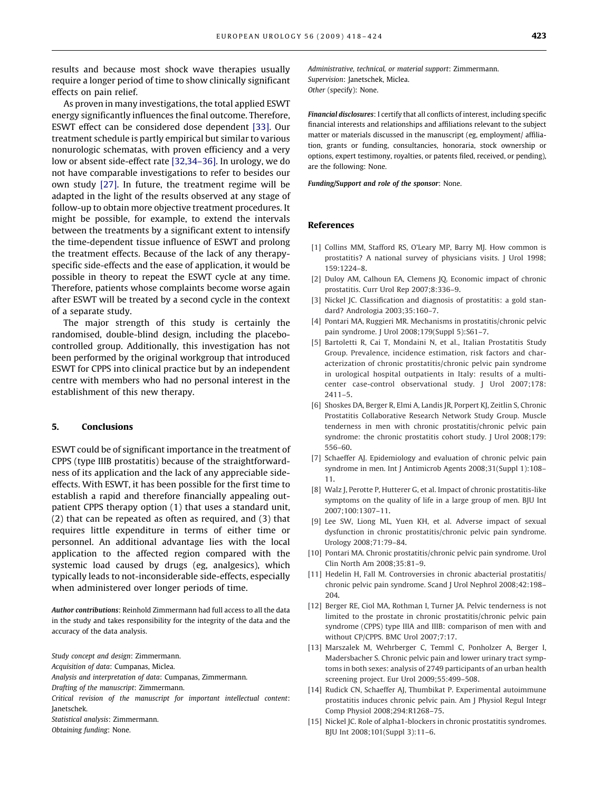<span id="page-5-0"></span>results and because most shock wave therapies usually require a longer period of time to show clinically significant effects on pain relief.

As proven in many investigations, the total applied ESWT energy significantly influences the final outcome. Therefore, ESWT effect can be considered dose dependent [\[33\]](#page-6-0). Our treatment schedule is partly empirical but similar to various nonurologic schematas, with proven efficiency and a very low or absent side-effect rate [\[32,34–36\].](#page-6-0) In urology, we do not have comparable investigations to refer to besides our own study [\[27\]](#page-6-0). In future, the treatment regime will be adapted in the light of the results observed at any stage of follow-up to obtain more objective treatment procedures. It might be possible, for example, to extend the intervals between the treatments by a significant extent to intensify the time-dependent tissue influence of ESWT and prolong the treatment effects. Because of the lack of any therapyspecific side-effects and the ease of application, it would be possible in theory to repeat the ESWT cycle at any time. Therefore, patients whose complaints become worse again after ESWT will be treated by a second cycle in the context of a separate study.

The major strength of this study is certainly the randomised, double-blind design, including the placebocontrolled group. Additionally, this investigation has not been performed by the original workgroup that introduced ESWT for CPPS into clinical practice but by an independent centre with members who had no personal interest in the establishment of this new therapy.

#### 5. Conclusions

ESWT could be of significant importance in the treatment of CPPS (type IIIB prostatitis) because of the straightforwardness of its application and the lack of any appreciable sideeffects. With ESWT, it has been possible for the first time to establish a rapid and therefore financially appealing outpatient CPPS therapy option (1) that uses a standard unit, (2) that can be repeated as often as required, and (3) that requires little expenditure in terms of either time or personnel. An additional advantage lies with the local application to the affected region compared with the systemic load caused by drugs (eg, analgesics), which typically leads to not-inconsiderable side-effects, especially when administered over longer periods of time.

Author contributions: Reinhold Zimmermann had full access to all the data in the study and takes responsibility for the integrity of the data and the accuracy of the data analysis.

Study concept and design: Zimmermann.

Acquisition of data: Cumpanas, Miclea.

Analysis and interpretation of data: Cumpanas, Zimmermann.

Drafting of the manuscript: Zimmermann.

Critical revision of the manuscript for important intellectual content: Janetschek.

Statistical analysis: Zimmermann.

Obtaining funding: None.

Administrative, technical, or material support: Zimmermann. Supervision: Janetschek, Miclea. Other (specify): None.

Financial disclosures: I certify that all conflicts of interest, including specific financial interests and relationships and affiliations relevant to the subject matter or materials discussed in the manuscript (eg, employment/ affiliation, grants or funding, consultancies, honoraria, stock ownership or options, expert testimony, royalties, or patents filed, received, or pending), are the following: None.

Funding/Support and role of the sponsor: None.

#### References

- [1] Collins MM, Stafford RS, O'Leary MP, Barry MJ. How common is prostatitis? A national survey of physicians visits. J Urol 1998; 159:1224–8.
- [2] Duloy AM, Calhoun EA, Clemens JQ. Economic impact of chronic prostatitis. Curr Urol Rep 2007;8:336–9.
- [3] Nickel JC. Classification and diagnosis of prostatitis: a gold standard? Andrologia 2003;35:160–7.
- [4] Pontari MA, Ruggieri MR. Mechanisms in prostatitis/chronic pelvic pain syndrome. J Urol 2008;179(Suppl 5):S61–7.
- [5] Bartoletti R, Cai T, Mondaini N, et al., Italian Prostatitis Study Group. Prevalence, incidence estimation, risk factors and characterization of chronic prostatitis/chronic pelvic pain syndrome in urological hospital outpatients in Italy: results of a multicenter case-control observational study. J Urol 2007;178: 2411–5.
- [6] Shoskes DA, Berger R, Elmi A, Landis JR, Porpert KJ, Zeitlin S, Chronic Prostatitis Collaborative Research Network Study Group. Muscle tenderness in men with chronic prostatitis/chronic pelvic pain syndrome: the chronic prostatitis cohort study. J Urol 2008;179: 556–60.
- [7] Schaeffer AJ. Epidemiology and evaluation of chronic pelvic pain syndrome in men. Int J Antimicrob Agents 2008;31(Suppl 1):108– 11.
- [8] Walz J, Perotte P, Hutterer G, et al. Impact of chronic prostatitis-like symptoms on the quality of life in a large group of men. BJU Int 2007;100:1307–11.
- [9] Lee SW, Liong ML, Yuen KH, et al. Adverse impact of sexual dysfunction in chronic prostatitis/chronic pelvic pain syndrome. Urology 2008;71:79–84.
- [10] Pontari MA. Chronic prostatitis/chronic pelvic pain syndrome. Urol Clin North Am 2008;35:81–9.
- [11] Hedelin H, Fall M. Controversies in chronic abacterial prostatitis/ chronic pelvic pain syndrome. Scand J Urol Nephrol 2008;42:198– 204.
- [12] Berger RE, Ciol MA, Rothman I, Turner JA. Pelvic tenderness is not limited to the prostate in chronic prostatitis/chronic pelvic pain syndrome (CPPS) type IIIA and IIIB: comparison of men with and without CP/CPPS. BMC Urol 2007;7:17.
- [13] Marszalek M, Wehrberger C, Temml C, Ponholzer A, Berger I, Madersbacher S. Chronic pelvic pain and lower urinary tract symptoms in both sexes: analysis of 2749 participants of an urban health screening project. Eur Urol 2009;55:499–508.
- [14] Rudick CN, Schaeffer AJ, Thumbikat P. Experimental autoimmune prostatitis induces chronic pelvic pain. Am J Physiol Regul Integr Comp Physiol 2008;294:R1268–75.
- [15] Nickel JC. Role of alpha1-blockers in chronic prostatitis syndromes. BJU Int 2008;101(Suppl 3):11–6.